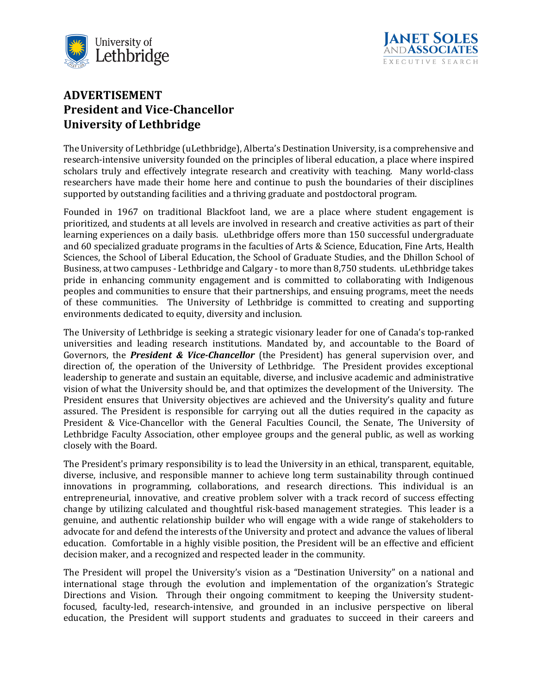



## **ADVERTISEMENT President and Vice-Chancellor University of Lethbridge**

The University of Lethbridge (uLethbridge), Alberta's Destination University, is a comprehensive and research-intensive university founded on the principles of liberal education, a place where inspired scholars truly and effectively integrate research and creativity with teaching. Many world-class researchers have made their home here and continue to push the boundaries of their disciplines supported by outstanding facilities and a thriving graduate and postdoctoral program.

Founded in 1967 on traditional Blackfoot land, we are a place where student engagement is prioritized, and students at all levels are involved in research and creative activities as part of their learning experiences on a daily basis. uLethbridge offers more than 150 successful undergraduate and 60 specialized graduate programs in the faculties of Arts & Science, Education, Fine Arts, Health Sciences, the School of Liberal Education, the School of Graduate Studies, and the Dhillon School of Business, at two campuses - Lethbridge and Calgary - to more than 8,750 students. uLethbridge takes pride in enhancing community engagement and is committed to collaborating with Indigenous peoples and communities to ensure that their partnerships, and ensuing programs, meet the needs of these communities. The University of Lethbridge is committed to creating and supporting environments dedicated to equity, diversity and inclusion.

The University of Lethbridge is seeking a strategic visionary leader for one of Canada's top-ranked universities and leading research institutions. Mandated by, and accountable to the Board of Governors, the *President & Vice-Chancellor* (the President) has general supervision over, and direction of, the operation of the University of Lethbridge. The President provides exceptional leadership to generate and sustain an equitable, diverse, and inclusive academic and administrative vision of what the University should be, and that optimizes the development of the University. The President ensures that University objectives are achieved and the University's quality and future assured. The President is responsible for carrying out all the duties required in the capacity as President & Vice-Chancellor with the General Faculties Council, the Senate, The University of Lethbridge Faculty Association, other employee groups and the general public, as well as working closely with the Board.

The President's primary responsibility is to lead the University in an ethical, transparent, equitable, diverse, inclusive, and responsible manner to achieve long term sustainability through continued innovations in programming, collaborations, and research directions. This individual is an entrepreneurial, innovative, and creative problem solver with a track record of success effecting change by utilizing calculated and thoughtful risk-based management strategies. This leader is a genuine, and authentic relationship builder who will engage with a wide range of stakeholders to advocate for and defend the interests of the University and protect and advance the values of liberal education. Comfortable in a highly visible position, the President will be an effective and efficient decision maker, and a recognized and respected leader in the community.

The President will propel the University's vision as a "Destination University" on a national and international stage through the evolution and implementation of the organization's Strategic Directions and Vision. Through their ongoing commitment to keeping the University studentfocused, faculty-led, research-intensive, and grounded in an inclusive perspective on liberal education, the President will support students and graduates to succeed in their careers and